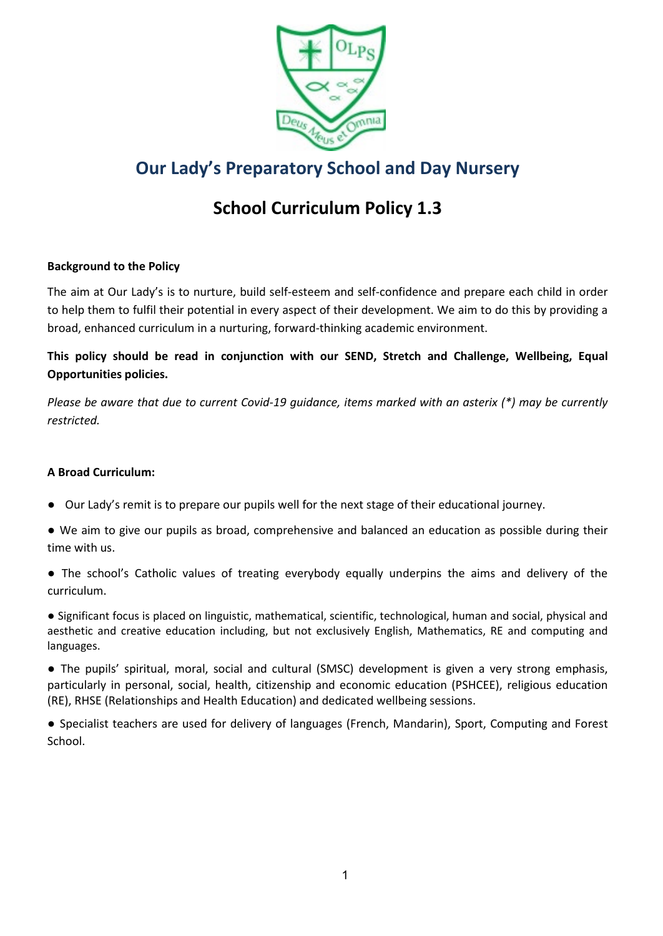

# **Our Lady's Preparatory School and Day Nursery**

# **School Curriculum Policy 1.3**

# **Background to the Policy**

The aim at Our Lady's is to nurture, build self-esteem and self-confidence and prepare each child in order to help them to fulfil their potential in every aspect of their development. We aim to do this by providing a broad, enhanced curriculum in a nurturing, forward-thinking academic environment.

**This policy should be read in conjunction with our SEND, Stretch and Challenge, Wellbeing, Equal Opportunities policies.** 

*Please be aware that due to current Covid-19 guidance, items marked with an asterix (\*) may be currently restricted.* 

# **A Broad Curriculum:**

- Our Lady's remit is to prepare our pupils well for the next stage of their educational journey.
- We aim to give our pupils as broad, comprehensive and balanced an education as possible during their time with us.
- The school's Catholic values of treating everybody equally underpins the aims and delivery of the curriculum.
- Significant focus is placed on linguistic, mathematical, scientific, technological, human and social, physical and aesthetic and creative education including, but not exclusively English, Mathematics, RE and computing and languages.

● The pupils' spiritual, moral, social and cultural (SMSC) development is given a very strong emphasis, particularly in personal, social, health, citizenship and economic education (PSHCEE), religious education (RE), RHSE (Relationships and Health Education) and dedicated wellbeing sessions.

● Specialist teachers are used for delivery of languages (French, Mandarin), Sport, Computing and Forest School.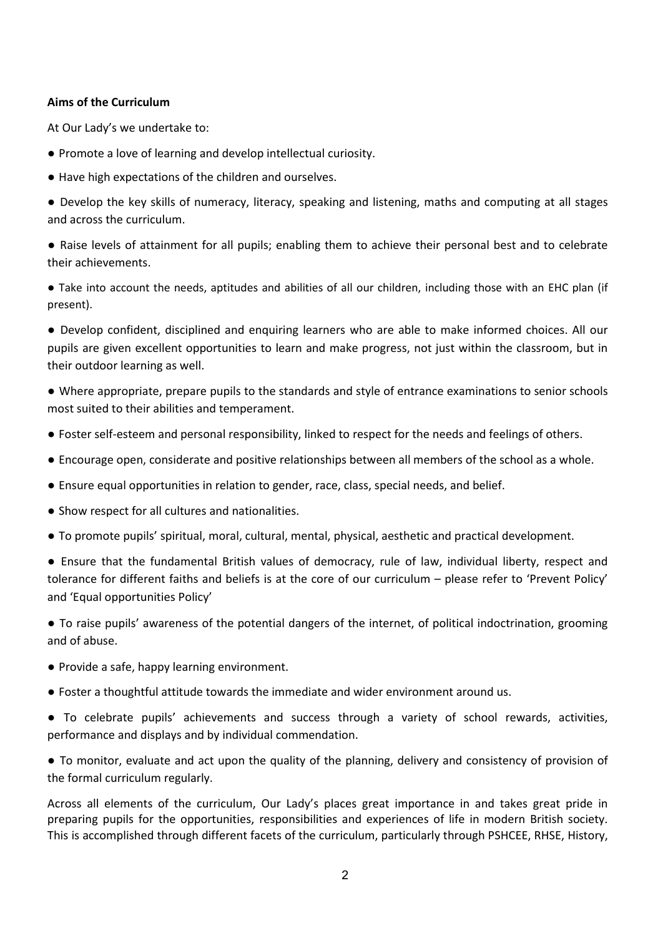# **Aims of the Curriculum**

At Our Lady's we undertake to:

- Promote a love of learning and develop intellectual curiosity.
- Have high expectations of the children and ourselves.
- Develop the key skills of numeracy, literacy, speaking and listening, maths and computing at all stages and across the curriculum.
- Raise levels of attainment for all pupils; enabling them to achieve their personal best and to celebrate their achievements.
- Take into account the needs, aptitudes and abilities of all our children, including those with an EHC plan (if present).
- Develop confident, disciplined and enquiring learners who are able to make informed choices. All our pupils are given excellent opportunities to learn and make progress, not just within the classroom, but in their outdoor learning as well.
- Where appropriate, prepare pupils to the standards and style of entrance examinations to senior schools most suited to their abilities and temperament.
- Foster self-esteem and personal responsibility, linked to respect for the needs and feelings of others.
- Encourage open, considerate and positive relationships between all members of the school as a whole.
- Ensure equal opportunities in relation to gender, race, class, special needs, and belief.
- Show respect for all cultures and nationalities.
- To promote pupils' spiritual, moral, cultural, mental, physical, aesthetic and practical development.
- Ensure that the fundamental British values of democracy, rule of law, individual liberty, respect and tolerance for different faiths and beliefs is at the core of our curriculum – please refer to 'Prevent Policy' and 'Equal opportunities Policy'
- To raise pupils' awareness of the potential dangers of the internet, of political indoctrination, grooming and of abuse.
- Provide a safe, happy learning environment.
- Foster a thoughtful attitude towards the immediate and wider environment around us.
- To celebrate pupils' achievements and success through a variety of school rewards, activities, performance and displays and by individual commendation.
- To monitor, evaluate and act upon the quality of the planning, delivery and consistency of provision of the formal curriculum regularly.

Across all elements of the curriculum, Our Lady's places great importance in and takes great pride in preparing pupils for the opportunities, responsibilities and experiences of life in modern British society. This is accomplished through different facets of the curriculum, particularly through PSHCEE, RHSE, History,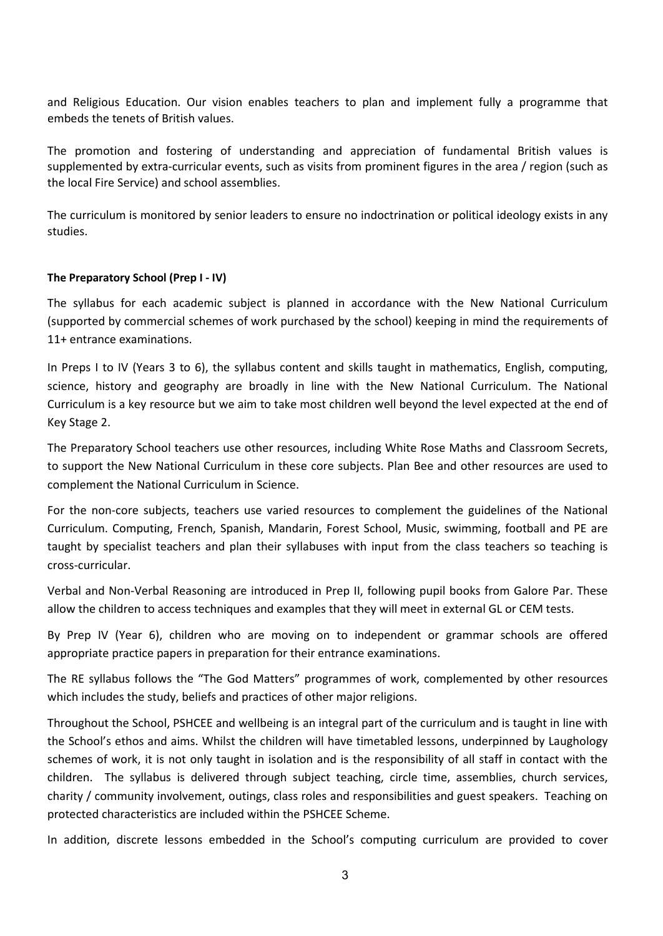and Religious Education. Our vision enables teachers to plan and implement fully a programme that embeds the tenets of British values.

The promotion and fostering of understanding and appreciation of fundamental British values is supplemented by extra-curricular events, such as visits from prominent figures in the area / region (such as the local Fire Service) and school assemblies.

The curriculum is monitored by senior leaders to ensure no indoctrination or political ideology exists in any studies.

#### **The Preparatory School (Prep I - IV)**

The syllabus for each academic subject is planned in accordance with the New National Curriculum (supported by commercial schemes of work purchased by the school) keeping in mind the requirements of 11+ entrance examinations.

In Preps I to IV (Years 3 to 6), the syllabus content and skills taught in mathematics, English, computing, science, history and geography are broadly in line with the New National Curriculum. The National Curriculum is a key resource but we aim to take most children well beyond the level expected at the end of Key Stage 2.

The Preparatory School teachers use other resources, including White Rose Maths and Classroom Secrets, to support the New National Curriculum in these core subjects. Plan Bee and other resources are used to complement the National Curriculum in Science.

For the non-core subjects, teachers use varied resources to complement the guidelines of the National Curriculum. Computing, French, Spanish, Mandarin, Forest School, Music, swimming, football and PE are taught by specialist teachers and plan their syllabuses with input from the class teachers so teaching is cross-curricular.

Verbal and Non-Verbal Reasoning are introduced in Prep II, following pupil books from Galore Par. These allow the children to access techniques and examples that they will meet in external GL or CEM tests.

By Prep IV (Year 6), children who are moving on to independent or grammar schools are offered appropriate practice papers in preparation for their entrance examinations.

The RE syllabus follows the "The God Matters" programmes of work, complemented by other resources which includes the study, beliefs and practices of other major religions.

Throughout the School, PSHCEE and wellbeing is an integral part of the curriculum and is taught in line with the School's ethos and aims. Whilst the children will have timetabled lessons, underpinned by Laughology schemes of work, it is not only taught in isolation and is the responsibility of all staff in contact with the children. The syllabus is delivered through subject teaching, circle time, assemblies, church services, charity / community involvement, outings, class roles and responsibilities and guest speakers. Teaching on protected characteristics are included within the PSHCEE Scheme.

In addition, discrete lessons embedded in the School's computing curriculum are provided to cover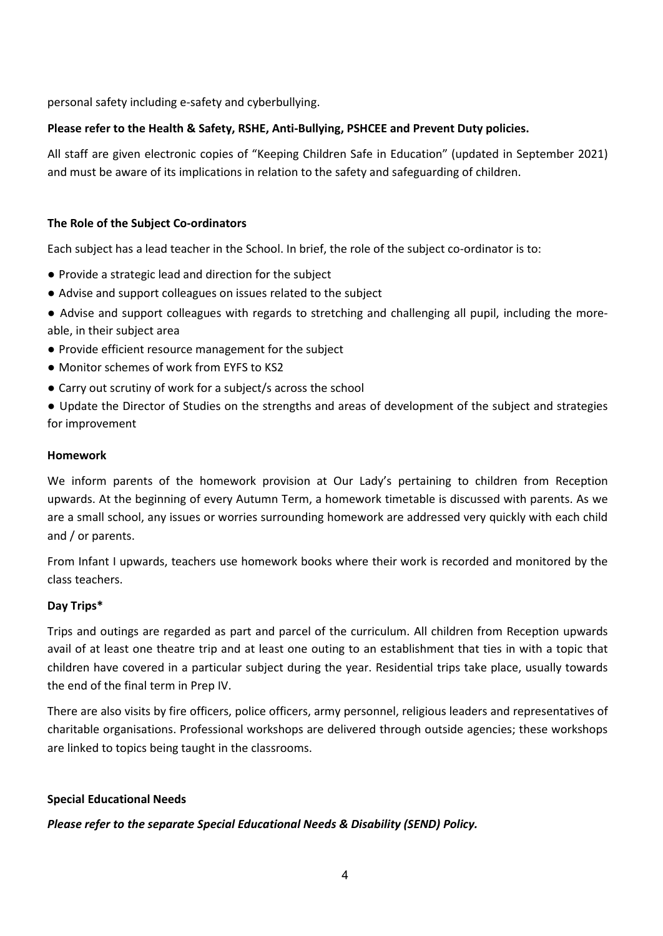personal safety including e-safety and cyberbullying.

# **Please refer to the Health & Safety, RSHE, Anti-Bullying, PSHCEE and Prevent Duty policies.**

All staff are given electronic copies of "Keeping Children Safe in Education" (updated in September 2021) and must be aware of its implications in relation to the safety and safeguarding of children.

# **The Role of the Subject Co-ordinators**

Each subject has a lead teacher in the School. In brief, the role of the subject co-ordinator is to:

- Provide a strategic lead and direction for the subject
- Advise and support colleagues on issues related to the subject
- Advise and support colleagues with regards to stretching and challenging all pupil, including the moreable, in their subject area
- Provide efficient resource management for the subject
- Monitor schemes of work from EYFS to KS2
- Carry out scrutiny of work for a subject/s across the school
- Update the Director of Studies on the strengths and areas of development of the subject and strategies for improvement

#### **Homework**

We inform parents of the homework provision at Our Lady's pertaining to children from Reception upwards. At the beginning of every Autumn Term, a homework timetable is discussed with parents. As we are a small school, any issues or worries surrounding homework are addressed very quickly with each child and / or parents.

From Infant I upwards, teachers use homework books where their work is recorded and monitored by the class teachers.

# **Day Trips\***

Trips and outings are regarded as part and parcel of the curriculum. All children from Reception upwards avail of at least one theatre trip and at least one outing to an establishment that ties in with a topic that children have covered in a particular subject during the year. Residential trips take place, usually towards the end of the final term in Prep IV.

There are also visits by fire officers, police officers, army personnel, religious leaders and representatives of charitable organisations. Professional workshops are delivered through outside agencies; these workshops are linked to topics being taught in the classrooms.

# **Special Educational Needs**

# *Please refer to the separate Special Educational Needs & Disability (SEND) Policy.*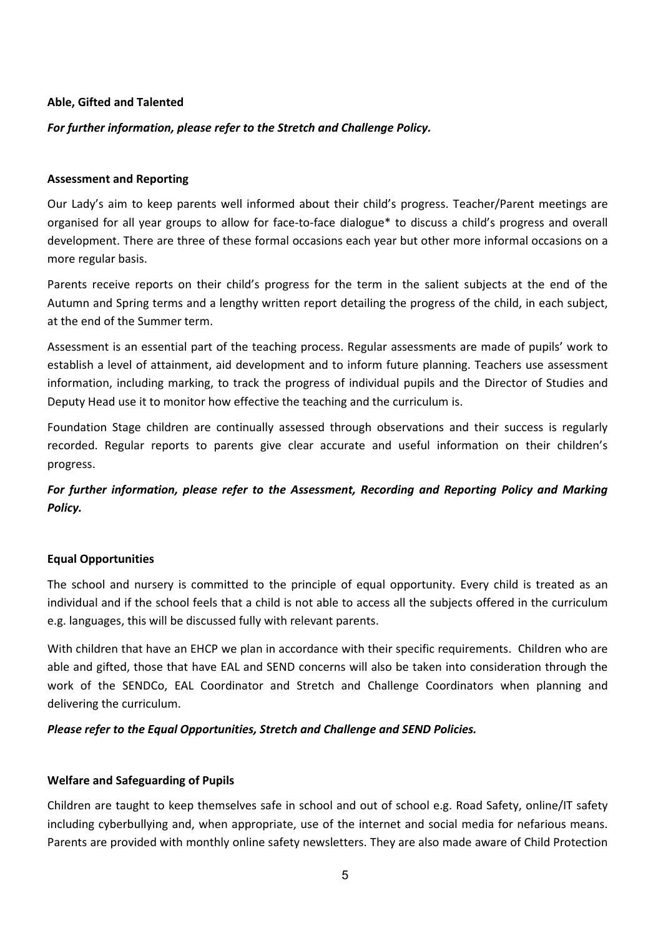#### **Able, Gifted and Talented**

# *For further information, please refer to the Stretch and Challenge Policy.*

#### **Assessment and Reporting**

Our Lady's aim to keep parents well informed about their child's progress. Teacher/Parent meetings are organised for all year groups to allow for face-to-face dialogue\* to discuss a child's progress and overall development. There are three of these formal occasions each year but other more informal occasions on a more regular basis.

Parents receive reports on their child's progress for the term in the salient subjects at the end of the Autumn and Spring terms and a lengthy written report detailing the progress of the child, in each subject, at the end of the Summer term.

Assessment is an essential part of the teaching process. Regular assessments are made of pupils' work to establish a level of attainment, aid development and to inform future planning. Teachers use assessment information, including marking, to track the progress of individual pupils and the Director of Studies and Deputy Head use it to monitor how effective the teaching and the curriculum is.

Foundation Stage children are continually assessed through observations and their success is regularly recorded. Regular reports to parents give clear accurate and useful information on their children's progress.

*For further information, please refer to the Assessment, Recording and Reporting Policy and Marking Policy.* 

# **Equal Opportunities**

The school and nursery is committed to the principle of equal opportunity. Every child is treated as an individual and if the school feels that a child is not able to access all the subjects offered in the curriculum e.g. languages, this will be discussed fully with relevant parents.

With children that have an EHCP we plan in accordance with their specific requirements. Children who are able and gifted, those that have EAL and SEND concerns will also be taken into consideration through the work of the SENDCo, EAL Coordinator and Stretch and Challenge Coordinators when planning and delivering the curriculum.

# *Please refer to the Equal Opportunities, Stretch and Challenge and SEND Policies.*

# **Welfare and Safeguarding of Pupils**

Children are taught to keep themselves safe in school and out of school e.g. Road Safety, online/IT safety including cyberbullying and, when appropriate, use of the internet and social media for nefarious means. Parents are provided with monthly online safety newsletters. They are also made aware of Child Protection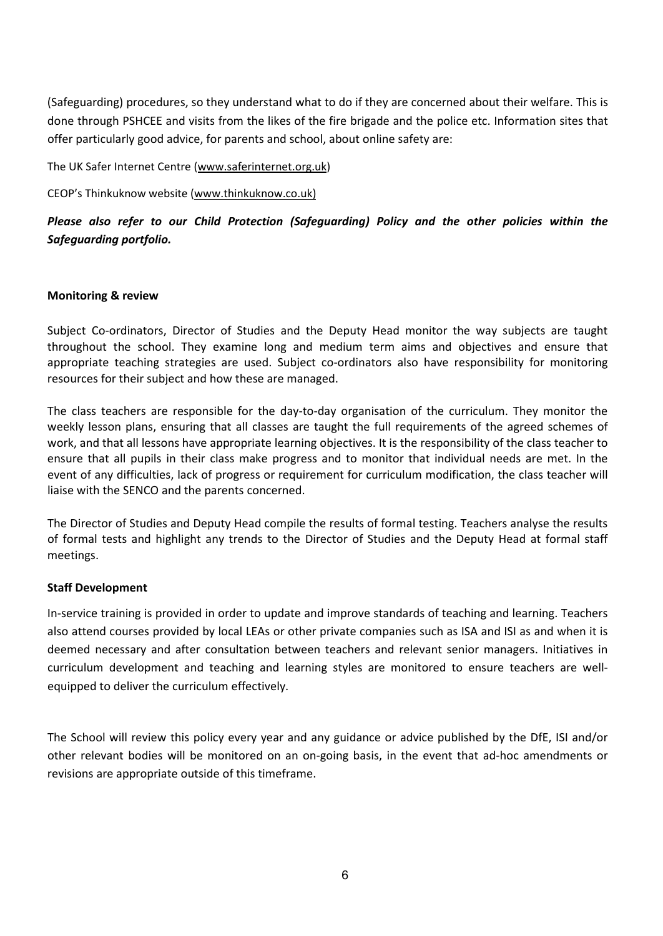(Safeguarding) procedures, so they understand what to do if they are concerned about their welfare. This is done through PSHCEE and visits from the likes of the fire brigade and the police etc. Information sites that offer particularly good advice, for parents and school, about online safety are:

The UK Safer Internet Centre (www.saferinternet.org.uk)

CEOP's Thinkuknow website (www.thinkuknow.co.uk)

*Please also refer to our Child Protection (Safeguarding) Policy and the other policies within the Safeguarding portfolio.*

# **Monitoring & review**

Subject Co-ordinators, Director of Studies and the Deputy Head monitor the way subjects are taught throughout the school. They examine long and medium term aims and objectives and ensure that appropriate teaching strategies are used. Subject co-ordinators also have responsibility for monitoring resources for their subject and how these are managed.

The class teachers are responsible for the day-to-day organisation of the curriculum. They monitor the weekly lesson plans, ensuring that all classes are taught the full requirements of the agreed schemes of work, and that all lessons have appropriate learning objectives. It is the responsibility of the class teacher to ensure that all pupils in their class make progress and to monitor that individual needs are met. In the event of any difficulties, lack of progress or requirement for curriculum modification, the class teacher will liaise with the SENCO and the parents concerned.

The Director of Studies and Deputy Head compile the results of formal testing. Teachers analyse the results of formal tests and highlight any trends to the Director of Studies and the Deputy Head at formal staff meetings.

# **Staff Development**

In-service training is provided in order to update and improve standards of teaching and learning. Teachers also attend courses provided by local LEAs or other private companies such as ISA and ISI as and when it is deemed necessary and after consultation between teachers and relevant senior managers. Initiatives in curriculum development and teaching and learning styles are monitored to ensure teachers are wellequipped to deliver the curriculum effectively.

The School will review this policy every year and any guidance or advice published by the DfE, ISI and/or other relevant bodies will be monitored on an on-going basis, in the event that ad-hoc amendments or revisions are appropriate outside of this timeframe.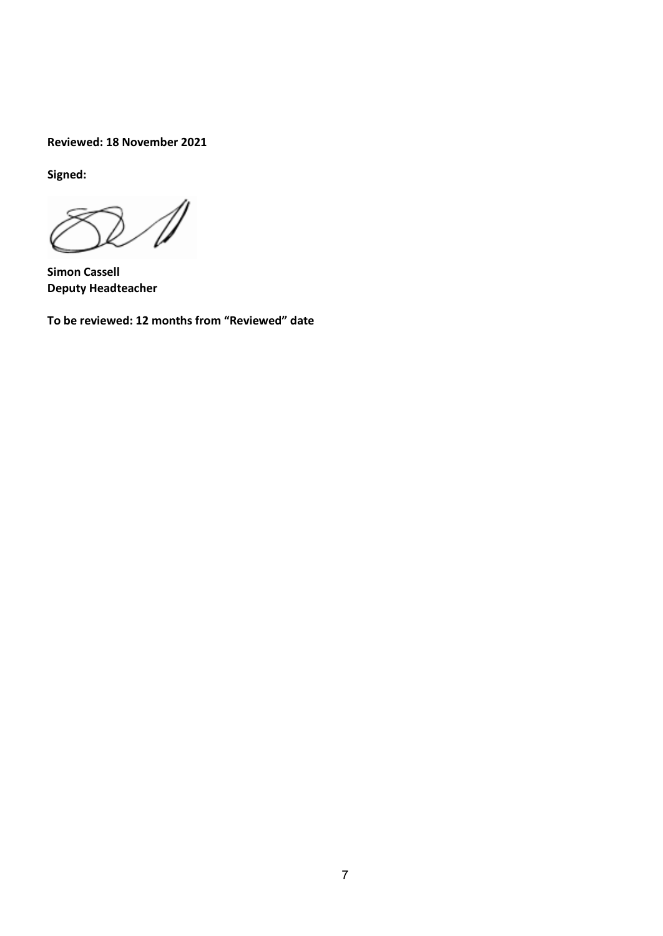**Reviewed: 18 November 2021**

**Signed:**

 $\mathbb{Z}$ 

**Simon Cassell Deputy Headteacher** 

**To be reviewed: 12 months from "Reviewed" date**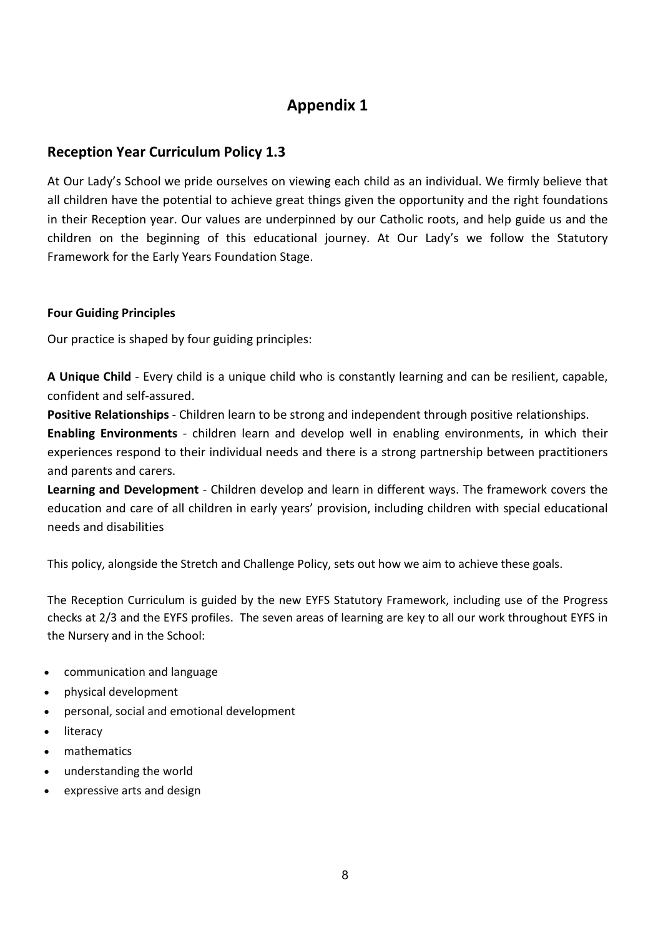# **Appendix 1**

# **Reception Year Curriculum Policy 1.3**

At Our Lady's School we pride ourselves on viewing each child as an individual. We firmly believe that all children have the potential to achieve great things given the opportunity and the right foundations in their Reception year. Our values are underpinned by our Catholic roots, and help guide us and the children on the beginning of this educational journey. At Our Lady's we follow the Statutory Framework for the Early Years Foundation Stage.

# **Four Guiding Principles**

Our practice is shaped by four guiding principles:

**A Unique Child** - Every child is a unique child who is constantly learning and can be resilient, capable, confident and self-assured.

**Positive Relationships** - Children learn to be strong and independent through positive relationships.

**Enabling Environments** - children learn and develop well in enabling environments, in which their experiences respond to their individual needs and there is a strong partnership between practitioners and parents and carers.

**Learning and Development** - Children develop and learn in different ways. The framework covers the education and care of all children in early years' provision, including children with special educational needs and disabilities

This policy, alongside the Stretch and Challenge Policy, sets out how we aim to achieve these goals.

The Reception Curriculum is guided by the new EYFS Statutory Framework, including use of the Progress checks at 2/3 and the EYFS profiles. The seven areas of learning are key to all our work throughout EYFS in the Nursery and in the School:

- communication and language
- physical development
- personal, social and emotional development
- literacy
- mathematics
- understanding the world
- expressive arts and design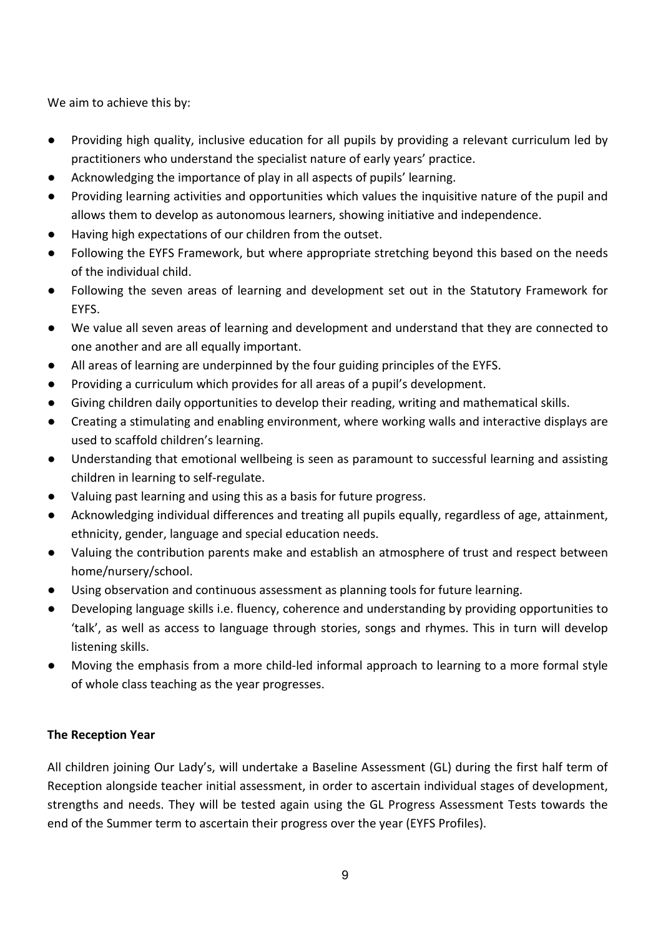We aim to achieve this by:

- Providing high quality, inclusive education for all pupils by providing a relevant curriculum led by practitioners who understand the specialist nature of early years' practice.
- Acknowledging the importance of play in all aspects of pupils' learning.
- Providing learning activities and opportunities which values the inquisitive nature of the pupil and allows them to develop as autonomous learners, showing initiative and independence.
- Having high expectations of our children from the outset.
- Following the EYFS Framework, but where appropriate stretching beyond this based on the needs of the individual child.
- Following the seven areas of learning and development set out in the Statutory Framework for EYFS.
- We value all seven areas of learning and development and understand that they are connected to one another and are all equally important.
- All areas of learning are underpinned by the four guiding principles of the EYFS.
- Providing a curriculum which provides for all areas of a pupil's development.
- Giving children daily opportunities to develop their reading, writing and mathematical skills.
- Creating a stimulating and enabling environment, where working walls and interactive displays are used to scaffold children's learning.
- Understanding that emotional wellbeing is seen as paramount to successful learning and assisting children in learning to self-regulate.
- Valuing past learning and using this as a basis for future progress.
- Acknowledging individual differences and treating all pupils equally, regardless of age, attainment, ethnicity, gender, language and special education needs.
- Valuing the contribution parents make and establish an atmosphere of trust and respect between home/nursery/school.
- Using observation and continuous assessment as planning tools for future learning.
- Developing language skills i.e. fluency, coherence and understanding by providing opportunities to 'talk', as well as access to language through stories, songs and rhymes. This in turn will develop listening skills.
- Moving the emphasis from a more child-led informal approach to learning to a more formal style of whole class teaching as the year progresses.

# **The Reception Year**

All children joining Our Lady's, will undertake a Baseline Assessment (GL) during the first half term of Reception alongside teacher initial assessment, in order to ascertain individual stages of development, strengths and needs. They will be tested again using the GL Progress Assessment Tests towards the end of the Summer term to ascertain their progress over the year (EYFS Profiles).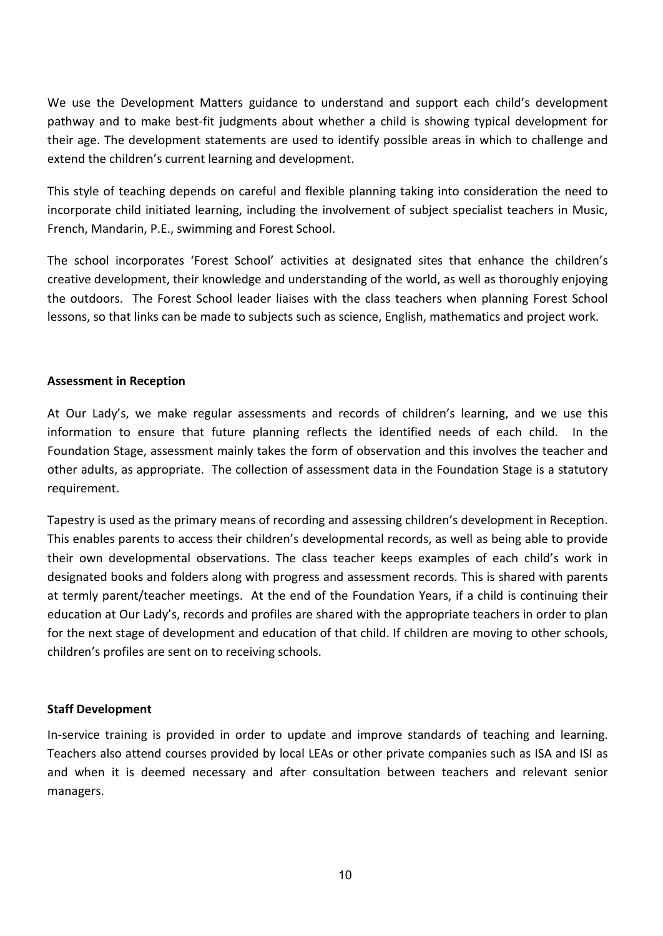We use the Development Matters guidance to understand and support each child's development pathway and to make best-fit judgments about whether a child is showing typical development for their age. The development statements are used to identify possible areas in which to challenge and extend the children's current learning and development.

This style of teaching depends on careful and flexible planning taking into consideration the need to incorporate child initiated learning, including the involvement of subject specialist teachers in Music, French, Mandarin, P.E., swimming and Forest School.

The school incorporates 'Forest School' activities at designated sites that enhance the children's creative development, their knowledge and understanding of the world, as well as thoroughly enjoying the outdoors. The Forest School leader liaises with the class teachers when planning Forest School lessons, so that links can be made to subjects such as science, English, mathematics and project work.

# **Assessment in Reception**

At Our Lady's, we make regular assessments and records of children's learning, and we use this information to ensure that future planning reflects the identified needs of each child. In the Foundation Stage, assessment mainly takes the form of observation and this involves the teacher and other adults, as appropriate. The collection of assessment data in the Foundation Stage is a statutory requirement.

Tapestry is used as the primary means of recording and assessing children's development in Reception. This enables parents to access their children's developmental records, as well as being able to provide their own developmental observations. The class teacher keeps examples of each child's work in designated books and folders along with progress and assessment records. This is shared with parents at termly parent/teacher meetings. At the end of the Foundation Years, if a child is continuing their education at Our Lady's, records and profiles are shared with the appropriate teachers in order to plan for the next stage of development and education of that child. If children are moving to other schools, children's profiles are sent on to receiving schools.

# **Staff Development**

In-service training is provided in order to update and improve standards of teaching and learning. Teachers also attend courses provided by local LEAs or other private companies such as ISA and ISI as and when it is deemed necessary and after consultation between teachers and relevant senior managers.